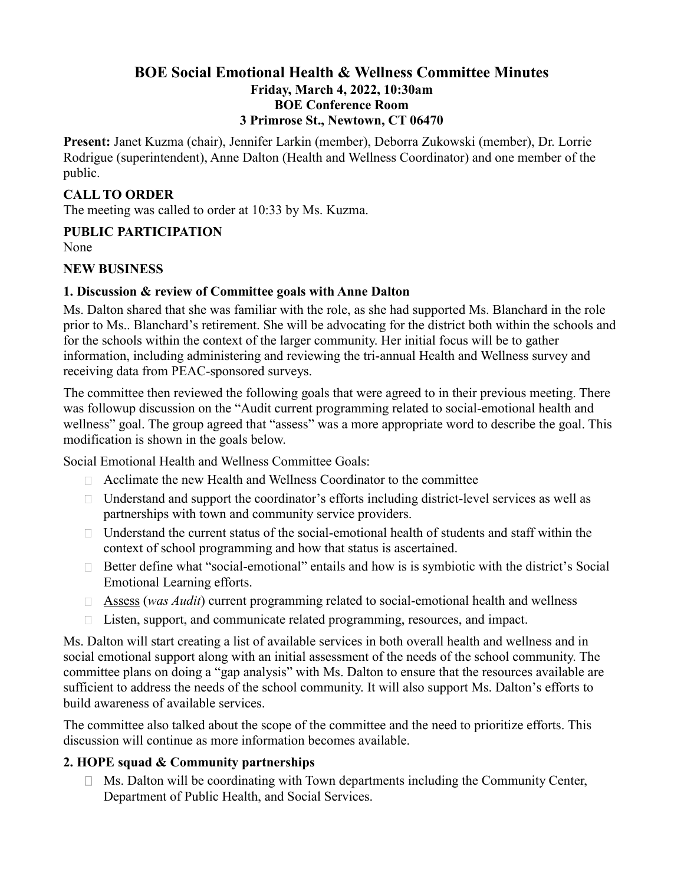## **BOE Social Emotional Health & Wellness Committee Minutes Friday, March 4, 2022, 10:30am BOE Conference Room 3 Primrose St., Newtown, CT 06470**

**Present:** Janet Kuzma (chair), Jennifer Larkin (member), Deborra Zukowski (member), Dr. Lorrie Rodrigue (superintendent), Anne Dalton (Health and Wellness Coordinator) and one member of the public.

#### **CALL TO ORDER**

The meeting was called to order at 10:33 by Ms. Kuzma.

# **PUBLIC PARTICIPATION**

None

#### **NEW BUSINESS**

## **1. Discussion & review of Committee goals with Anne Dalton**

Ms. Dalton shared that she was familiar with the role, as she had supported Ms. Blanchard in the role prior to Ms.. Blanchard's retirement. She will be advocating for the district both within the schools and for the schools within the context of the larger community. Her initial focus will be to gather information, including administering and reviewing the tri-annual Health and Wellness survey and receiving data from PEAC-sponsored surveys.

The committee then reviewed the following goals that were agreed to in their previous meeting. There was followup discussion on the "Audit current programming related to social-emotional health and wellness" goal. The group agreed that "assess" was a more appropriate word to describe the goal. This modification is shown in the goals below.

Social Emotional Health and Wellness Committee Goals:

- $\Box$  Acclimate the new Health and Wellness Coordinator to the committee
- $\Box$  Understand and support the coordinator's efforts including district-level services as well as partnerships with town and community service providers.
- $\Box$  Understand the current status of the social-emotional health of students and staff within the context of school programming and how that status is ascertained.
- $\Box$  Better define what "social-emotional" entails and how is is symbiotic with the district's Social Emotional Learning efforts.
- Assess (*was Audit*) current programming related to social-emotional health and wellness
- $\Box$  Listen, support, and communicate related programming, resources, and impact.

Ms. Dalton will start creating a list of available services in both overall health and wellness and in social emotional support along with an initial assessment of the needs of the school community. The committee plans on doing a "gap analysis" with Ms. Dalton to ensure that the resources available are sufficient to address the needs of the school community. It will also support Ms. Dalton's efforts to build awareness of available services.

The committee also talked about the scope of the committee and the need to prioritize efforts. This discussion will continue as more information becomes available.

# **2. HOPE squad & Community partnerships**

 $\Box$  Ms. Dalton will be coordinating with Town departments including the Community Center, Department of Public Health, and Social Services.